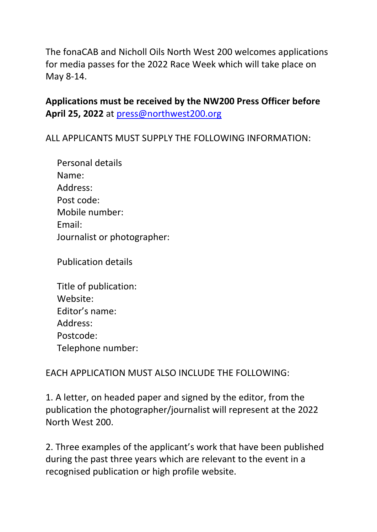The fonaCAB and Nicholl Oils North West 200 welcomes applications for media passes for the 2022 Race Week which will take place on May 8-14.

**Applications must be received by the NW200 Press Officer before April 25, 2022** at [press@northwest200.org](mailto:press@northwest200.org)

ALL APPLICANTS MUST SUPPLY THE FOLLOWING INFORMATION:

| Personal details            |
|-----------------------------|
| Name:                       |
| Address:                    |
| Post code:                  |
| Mobile number:              |
| Email:                      |
| Journalist or photographer: |

Publication details

| Title of publication: |
|-----------------------|
| Website:              |
| Editor's name:        |
| Address:              |
| Postcode:             |
| Telephone number:     |

EACH APPLICATION MUST ALSO INCLUDE THE FOLLOWING:

1. A letter, on headed paper and signed by the editor, from the publication the photographer/journalist will represent at the 2022 North West 200.

2. Three examples of the applicant's work that have been published during the past three years which are relevant to the event in a recognised publication or high profile website.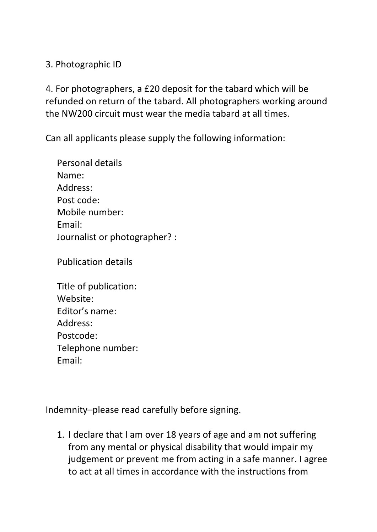3. Photographic ID

4. For photographers, a £20 deposit for the tabard which will be refunded on return of the tabard. All photographers working around the NW200 circuit must wear the media tabard at all times.

Can all applicants please supply the following information:

Personal details Name: Address: Post code: Mobile number: Email: Journalist or photographer? :

Publication details

| Title of publication: |  |
|-----------------------|--|
| Website:              |  |
| Editor's name:        |  |
| Address:              |  |
| Postcode:             |  |
| Telephone number:     |  |
| Email:                |  |

Indemnity–please read carefully before signing.

1. I declare that I am over 18 years of age and am not suffering from any mental or physical disability that would impair my judgement or prevent me from acting in a safe manner. I agree to act at all times in accordance with the instructions from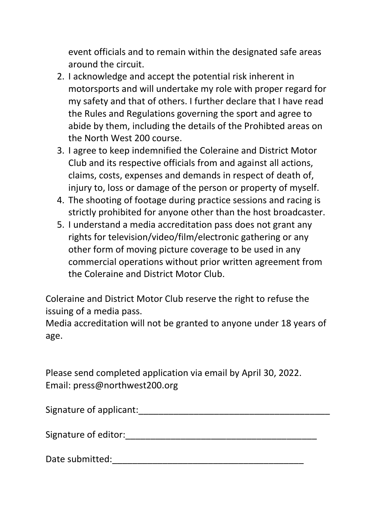event officials and to remain within the designated safe areas around the circuit.

- 2. I acknowledge and accept the potential risk inherent in motorsports and will undertake my role with proper regard for my safety and that of others. I further declare that I have read the Rules and Regulations governing the sport and agree to abide by them, including the details of the Prohibted areas on the North West 200 course.
- 3. I agree to keep indemnified the Coleraine and District Motor Club and its respective officials from and against all actions, claims, costs, expenses and demands in respect of death of, injury to, loss or damage of the person or property of myself.
- 4. The shooting of footage during practice sessions and racing is strictly prohibited for anyone other than the host broadcaster.
- 5. I understand a media accreditation pass does not grant any rights for television/video/film/electronic gathering or any other form of moving picture coverage to be used in any commercial operations without prior written agreement from the Coleraine and District Motor Club.

Coleraine and District Motor Club reserve the right to refuse the issuing of a media pass.

Media accreditation will not be granted to anyone under 18 years of age.

Please send completed application via email by April 30, 2022. Email: press@northwest200.org

Signature of applicant:  $\Box$ 

Signature of editor:\_\_\_\_\_\_\_\_\_\_\_\_\_\_\_\_\_\_\_\_\_\_\_\_\_\_\_\_\_\_\_\_\_\_\_\_\_\_

Date submitted: with a submitted of the submitted of the submitted of the submitted of the submitted of the submitted of the submitted of the submitted of the submitted of the submitted of the submitted of the submitted of